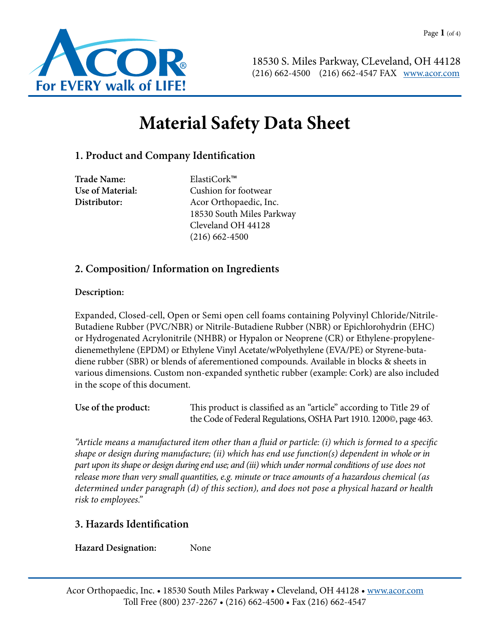

# **Material Safety Data Sheet**

# **1. Product and Company Identification**

**Trade Name:** ElastiCork™

**Use of Material:** Cushion for footwear **Distributor:** Acor Orthopaedic, Inc. 18530 South Miles Parkway Cleveland OH 44128 (216) 662-4500

# **2. Composition/ Information on Ingredients**

#### **Description:**

Expanded, Closed-cell, Open or Semi open cell foams containing Polyvinyl Chloride/Nitrile-Butadiene Rubber (PVC/NBR) or Nitrile-Butadiene Rubber (NBR) or Epichlorohydrin (EHC) or Hydrogenated Acrylonitrile (NHBR) or Hypalon or Neoprene (CR) or Ethylene-propylenedienemethylene (EPDM) or Ethylene Vinyl Acetate/wPolyethylene (EVA/PE) or Styrene-butadiene rubber (SBR) or blends of aferementioned compounds. Available in blocks & sheets in various dimensions. Custom non-expanded synthetic rubber (example: Cork) are also included in the scope of this document.

**Use of the product:** This product is classified as an "article" according to Title 29 of the Code of Federal Regulations, OSHA Part 1910. 1200©, page 463.

*"Article means a manufactured item other than a fluid or particle: (i) which is formed to a specific shape or design during manufacture; (ii) which has end use function(s) dependent in whole or in part upon its shape or design during end use; and (iii) which under normal conditions of use does not release more than very small quantities, e.g. minute or trace amounts of a hazardous chemical (as determined under paragraph (d) of this section), and does not pose a physical hazard or health risk to employees."*

## **3. Hazards Identification**

**Hazard Designation:** None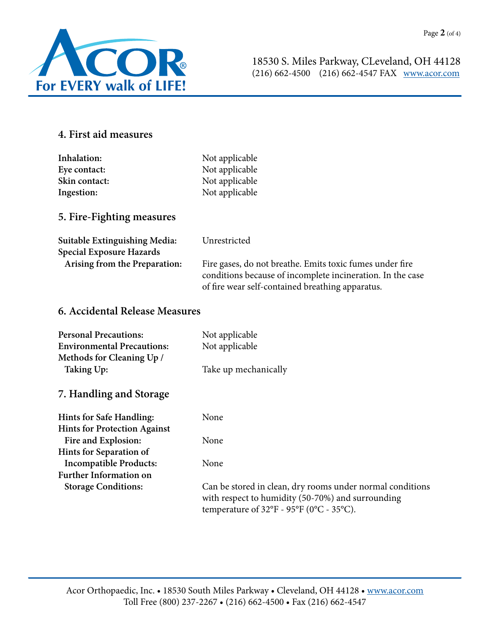

# **4. First aid measures**

| Inhalation:   | Not applicable |
|---------------|----------------|
| Eye contact:  | Not applicable |
| Skin contact: | Not applicable |
| Ingestion:    | Not applicable |

## **5. Fire-Fighting measures**

| Suitable Extinguishing Media:<br><b>Special Exposure Hazards</b> | Unrestricted                                                                                                   |
|------------------------------------------------------------------|----------------------------------------------------------------------------------------------------------------|
| Arising from the Preparation:                                    | Fire gases, do not breathe. Emits toxic fumes under fire                                                       |
|                                                                  | conditions because of incomplete incineration. In the case<br>of fire wear self-contained breathing apparatus. |

# **6. Accidental Release Measures**

| <b>Personal Precautions:</b>        | Not applicable                                                                                                                                             |
|-------------------------------------|------------------------------------------------------------------------------------------------------------------------------------------------------------|
| <b>Environmental Precautions:</b>   | Not applicable                                                                                                                                             |
| Methods for Cleaning Up /           |                                                                                                                                                            |
| <b>Taking Up:</b>                   | Take up mechanically                                                                                                                                       |
| 7. Handling and Storage             |                                                                                                                                                            |
| <b>Hints for Safe Handling:</b>     | None                                                                                                                                                       |
| <b>Hints for Protection Against</b> |                                                                                                                                                            |
| Fire and Explosion:                 | None                                                                                                                                                       |
| Hints for Separation of             |                                                                                                                                                            |
| <b>Incompatible Products:</b>       | None                                                                                                                                                       |
| <b>Further Information on</b>       |                                                                                                                                                            |
| <b>Storage Conditions:</b>          | Can be stored in clean, dry rooms under normal conditions<br>with respect to humidity (50-70%) and surrounding<br>temperature of 32°F - 95°F (0°C - 35°C). |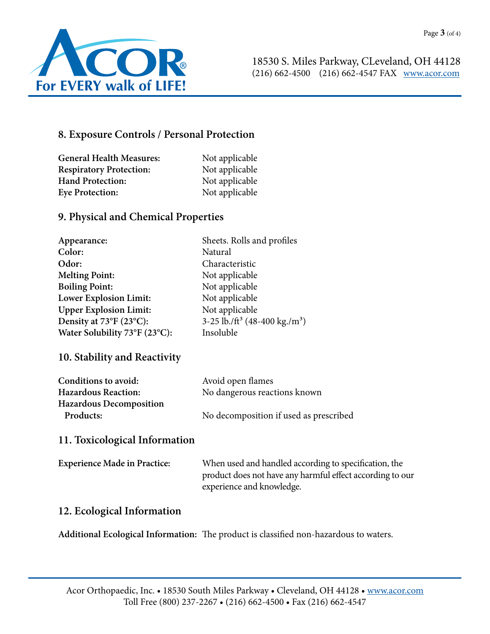

## **8. Exposure Controls / Personal Protection**

| <b>General Health Measures:</b> | Not applicable |
|---------------------------------|----------------|
| <b>Respiratory Protection:</b>  | Not applicable |
| <b>Hand Protection:</b>         | Not applicable |
| <b>Eye Protection:</b>          | Not applicable |

## **9. Physical and Chemical Properties**

| Appearance:                   | Sheets. Rolls and profiles                            |
|-------------------------------|-------------------------------------------------------|
| Color:                        | Natural                                               |
| Odor:                         | Characteristic                                        |
| <b>Melting Point:</b>         | Not applicable                                        |
| <b>Boiling Point:</b>         | Not applicable                                        |
| Lower Explosion Limit:        | Not applicable                                        |
| <b>Upper Explosion Limit:</b> | Not applicable                                        |
| Density at 73°F (23°C):       | 3-25 lb./ft <sup>3</sup> (48-400 kg./m <sup>3</sup> ) |
| Water Solubility 73°F (23°C): | Insoluble                                             |

#### **10. Stability and Reactivity**

| Conditions to avoid:           | Avoid open flames                      |
|--------------------------------|----------------------------------------|
| <b>Hazardous Reaction:</b>     | No dangerous reactions known           |
| <b>Hazardous Decomposition</b> |                                        |
| Products:                      | No decomposition if used as prescribed |

## **11. Toxicological Information**

| <b>Experience Made in Practice:</b> | When used and handled according to specification, the     |
|-------------------------------------|-----------------------------------------------------------|
|                                     | product does not have any harmful effect according to our |
|                                     | experience and knowledge.                                 |

#### **12. Ecological Information**

**Additional Ecological Information:** The product is classified non-hazardous to waters.